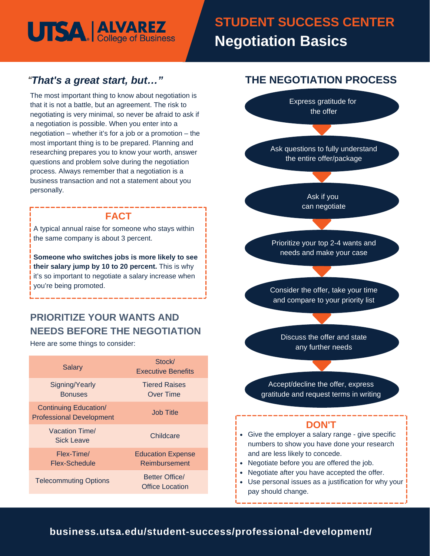# **UTSA | ALVAREZ**

# **Summary Statement Basics STUDENT SUCCESS CENTER Negotiation Basics**

# *"That's a great start, but…"*

The most important thing to know about negotiation is that it is not a battle, but an agreement. The risk to negotiating is very minimal, so never be afraid to ask if a negotiation is possible. When you enter into a negotiation – whether it's for a job or a promotion – the most important thing is to be prepared. Planning and researching prepares you to know your worth, answer questions and problem solve during the negotiation process. Always remember that a negotiation is a business transaction and not a statement about you personally.

## **FACT**

A typical annual raise for someone who stays within the same company is about 3 percent.

**Someone who switches jobs is more likely to see their salary jump by 10 to 20 percent.** This is why it's so important to negotiate a salary increase when you're being promoted.

# **PRIORITIZE YOUR WANTS AND NEEDS BEFORE THE NEGOTIATION**

Here are some things to consider:

| Salary                                                          | Stock/<br><b>Executive Benefits</b>             |
|-----------------------------------------------------------------|-------------------------------------------------|
| Signing/Yearly<br><b>Bonuses</b>                                | <b>Tiered Raises</b><br>Over Time               |
| <b>Continuing Education/</b><br><b>Professional Development</b> | Job Title                                       |
| Vacation Time/<br>Sick Leave                                    | Childcare                                       |
| Flex-Time/<br>Flex-Schedule                                     | <b>Education Expense</b><br>Reimbursement       |
| <b>Telecommuting Options</b>                                    | <b>Better Office/</b><br><b>Office Location</b> |



Use personal issues as a justification for why your pay should change.

# **business.utsa.edu/student-success/professional-development/**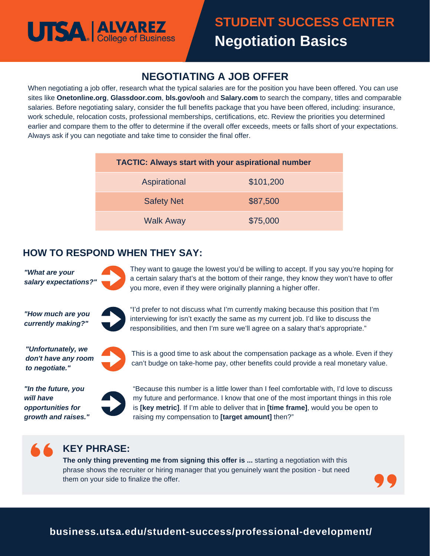# **UTSA ALVAREZ**

# **NEGOTIATING A JOB OFFER**

When negotiating a job offer, research what the typical salaries are for the position you have been offered. You can use sites like **Onetonline.org**, **Glassdoor.com**, **bls.gov/ooh** and **Salary.com** to search the company, titles and comparable salaries. Before negotiating salary, consider the full benefits package that you have been offered, including: insurance, work schedule, relocation costs, professional memberships, certifications, etc. Review the priorities you determined earlier and compare them to the offer to determine if the overall offer exceeds, meets or falls short of your expectations. Always ask if you can negotiate and take time to consider the final offer.

| <b>TACTIC: Always start with your aspirational number</b> |           |
|-----------------------------------------------------------|-----------|
| Aspirational                                              | \$101,200 |
| <b>Safety Net</b>                                         | \$87,500  |
| <b>Walk Away</b>                                          | \$75,000  |

### **HOW TO RESPOND WHEN THEY SAY:**

*"What are your salary expectations?"*

They want to gauge the lowest you'd be willing to accept. If you say you're hoping for a certain salary that's at the bottom of their range, they know they won't have to offer you more, even if they were originally planning a higher offer.

*"How much are you currently making?"*



"I'd prefer to not discuss what I'm currently making because this position that I'm interviewing for isn't exactly the same as my current job. I'd like to discuss the responsibilities, and then I'm sure we'll agree on a salary that's appropriate."

*"Unfortunately, we don't have any room to negotiate."*



This is a good time to ask about the compensation package as a whole. Even if they can't budge on take-home pay, other benefits could provide a real monetary value.



"Because this number is a little lower than I feel comfortable with, I'd love to discuss my future and performance. I know that one of the most important things in this role is **[key metric]**. If I'm able to deliver that in **[time frame]**, would you be open to raising my compensation to **[target amount]** then?"

# **KEY PHRASE:**

**The only thing preventing me from signing this offer is ...** starting a negotiation with this phrase shows the recruiter or hiring manager that you genuinely want the position - but need them on your side to finalize the offer.